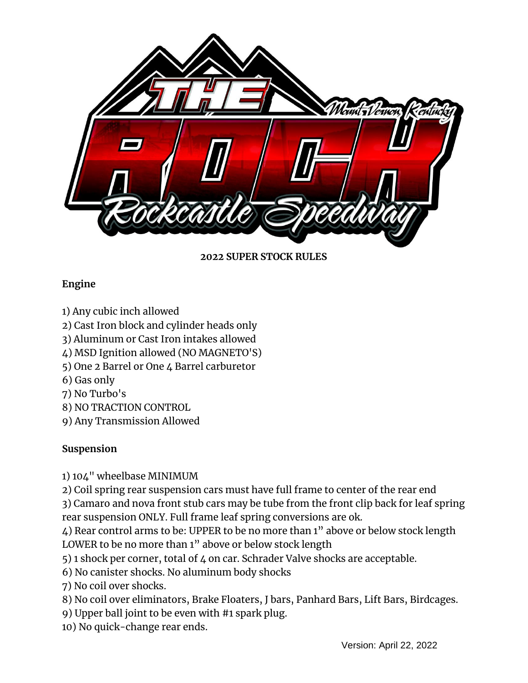

### **2022 SUPER STOCK RULES**

### **Engine**

- 1) Any cubic inch allowed
- 2) Cast Iron block and cylinder heads only
- 3) Aluminum or Cast Iron intakes allowed
- 4) MSD Ignition allowed (NO MAGNETO'S)
- 5) One 2 Barrel or One 4 Barrel carburetor
- 6) Gas only
- 7) No Turbo's
- 8) NO TRACTION CONTROL
- 9) Any Transmission Allowed

### **Suspension**

1) 104" wheelbase MINIMUM

2) Coil spring rear suspension cars must have full frame to center of the rear end

3) Camaro and nova front stub cars may be tube from the front clip back for leaf spring rear suspension ONLY. Full frame leaf spring conversions are ok.

4) Rear control arms to be: UPPER to be no more than 1" above or below stock length LOWER to be no more than 1" above or below stock length

5) 1 shock per corner, total of 4 on car. Schrader Valve shocks are acceptable.

6) No canister shocks. No aluminum body shocks

7) No coil over shocks.

- 8) No coil over eliminators, Brake Floaters, J bars, Panhard Bars, Lift Bars, Birdcages.
- 9) Upper ball joint to be even with #1 spark plug.
- 10) No quick-change rear ends.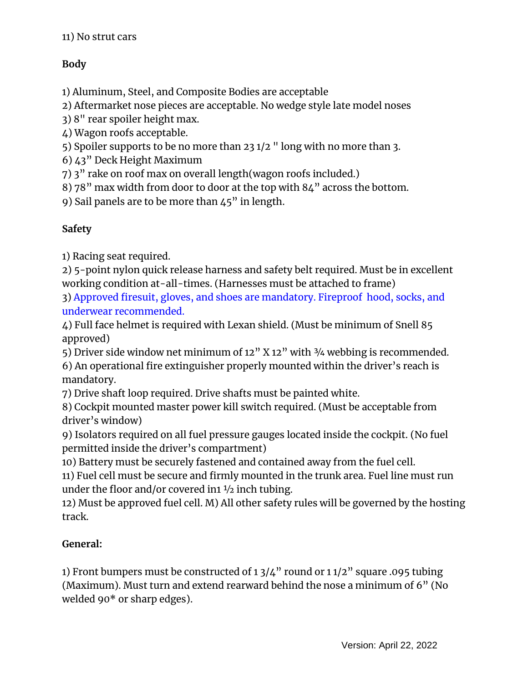# **Body**

1) Aluminum, Steel, and Composite Bodies are acceptable

2) Aftermarket nose pieces are acceptable. No wedge style late model noses

3) 8" rear spoiler height max.

4) Wagon roofs acceptable.

5) Spoiler supports to be no more than 23 1/2 " long with no more than 3.

6) 43" Deck Height Maximum

7) 3" rake on roof max on overall length(wagon roofs included.)

8) 78" max width from door to door at the top with 84" across the bottom.

9) Sail panels are to be more than 45" in length.

## **Safety**

1) Racing seat required.

2) 5-point nylon quick release harness and safety belt required. Must be in excellent working condition at-all-times. (Harnesses must be attached to frame)

3) Approved firesuit, gloves, and shoes are mandatory. Fireproof hood, socks, and underwear recommended.

4) Full face helmet is required with Lexan shield. (Must be minimum of Snell 85 approved)

5) Driver side window net minimum of  $12''$  X  $12''$  with  $\frac{3}{4}$  webbing is recommended.

6) An operational fire extinguisher properly mounted within the driver's reach is mandatory.

7) Drive shaft loop required. Drive shafts must be painted white.

8) Cockpit mounted master power kill switch required. (Must be acceptable from driver's window)

9) Isolators required on all fuel pressure gauges located inside the cockpit. (No fuel permitted inside the driver's compartment)

10) Battery must be securely fastened and contained away from the fuel cell.

11) Fuel cell must be secure and firmly mounted in the trunk area. Fuel line must run under the floor and/or covered in  $\frac{1}{2}$  inch tubing.

12) Must be approved fuel cell. M) All other safety rules will be governed by the hosting track.

### **General:**

1) Front bumpers must be constructed of 1 3/4" round or 1 1/2" square .095 tubing (Maximum). Must turn and extend rearward behind the nose a minimum of 6" (No welded 90\* or sharp edges).